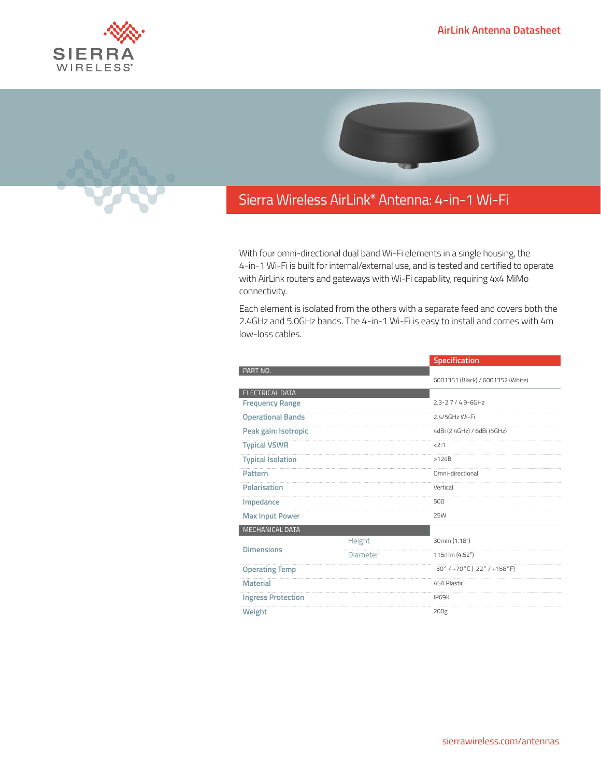





## Sierra Wireless **EMBEDDED MODULES HL SERIES** AirLink**®** Antenna: 4-in-1 Wi-Fi

With four omni-directional dual band Wi-Fi elements in a single housing, the 4-in-1 Wi-Fi is built for internal/external use, and is tested and certified to operate with AirLink routers and gateways with Wi-Fi capability, requiring 4x4 MiMo connectivity.

Each element is isolated from the others with a separate feed and covers both the 2.4GHz and 5.0GHz bands. The 4-in-1 Wi-Fi is easy to install and comes with 4m low-loss cables.

|                           |          | <b>Specification</b>                                                  |
|---------------------------|----------|-----------------------------------------------------------------------|
| PART NO.                  |          |                                                                       |
|                           |          | 6001351 (Black) / 6001352 (White)                                     |
| ELECTRICAL DATA           |          |                                                                       |
| <b>Frequency Range</b>    |          | $2.3 - 2.7 / 4.9 - 6$ GHz                                             |
| <b>Operational Bands</b>  |          | 2.4/5GHz Wi-Fi                                                        |
| Peak gain: Isotropic      |          | 4dBi (2.4GHz) / 6dBi (5GHz)                                           |
| <b>Typical VSWR</b>       |          | 2:1                                                                   |
| <b>Typical Isolation</b>  |          | >12dB                                                                 |
| Pattern                   |          | Omni-directional                                                      |
| Polarisation              |          | Vertical                                                              |
| Impedance                 |          | $50\Omega$                                                            |
| <b>Max Input Power</b>    |          | <b>25W</b>                                                            |
| MECHANICAL DATA           |          |                                                                       |
| <b>Dimensions</b>         | Height   | 30mm (1.18")                                                          |
|                           | Diameter | 115mm (4.52")                                                         |
| <b>Operating Temp</b>     |          | $-30^{\circ}$ / +70 $^{\circ}$ C (-22 $^{\circ}$ / +158 $^{\circ}$ F) |
| <b>Material</b>           |          | <b>ASA Plastic</b>                                                    |
| <b>Ingress Protection</b> |          | IP69K                                                                 |
| Weight                    |          | 200g                                                                  |